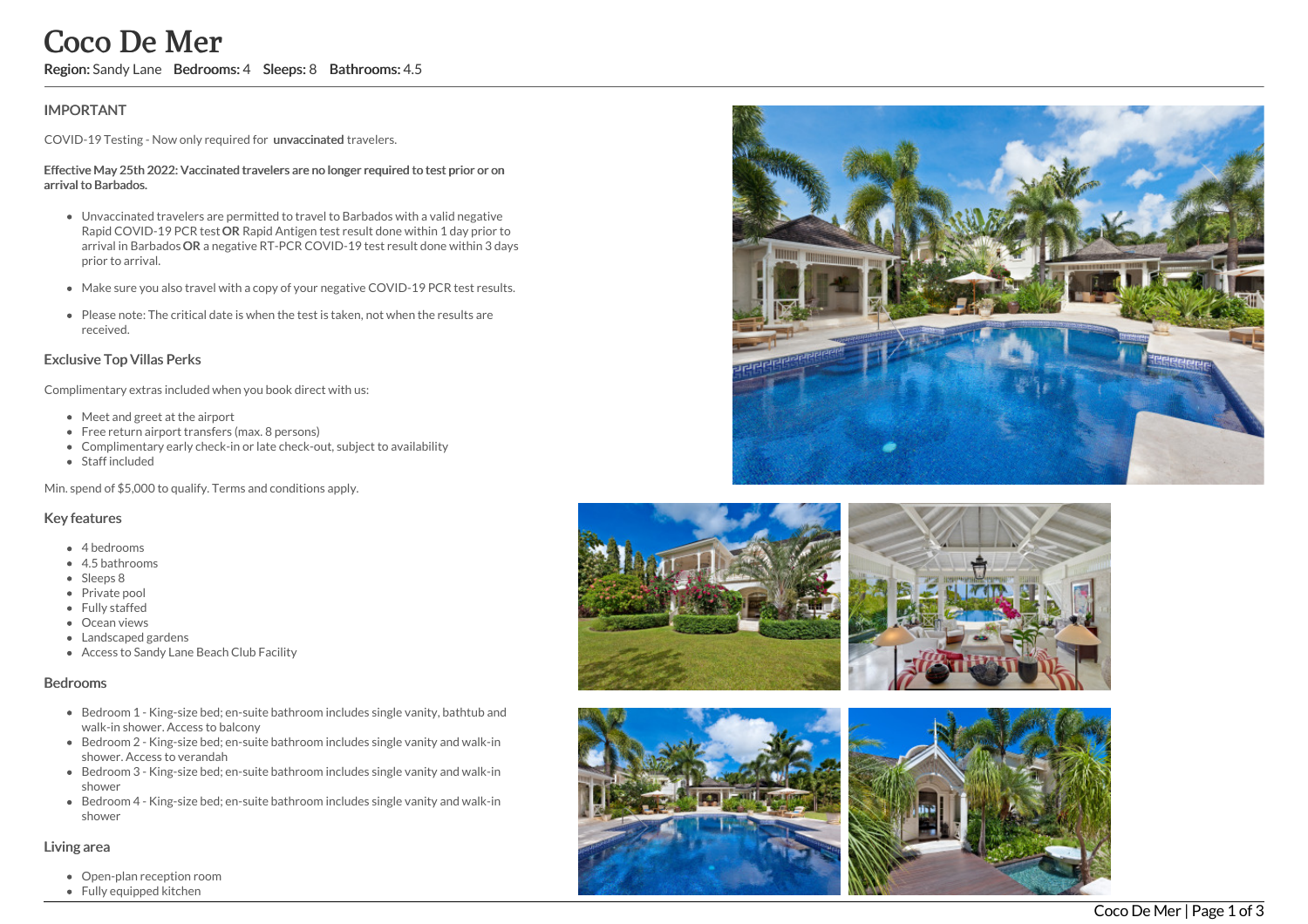# **IMPORTANT**

COVID-19 Testing - Now only required for unvaccinated travelers.

#### Effective May 25th 2022: Vaccinated travelers are no longer required to test prior or on arrival to Barbados.

- Unvaccinated travelers are permitted to travel to Barbados with a valid negative Rapid COVID-19 PCR test OR Rapid Antigen test result done within 1 day prior to arrival in Barbados OR a negative RT-PCR COVID-19 test result done within 3 days prior to arrival. COCO De Mer<br>
Region: Sandy Lane Bedrooms: 4 Sleeps: 8 Bathrooms: 4.5<br>
IMPORTANT<br>
COVID-19 Testing - Now only required for unvaccinated travelers.<br>
Effective May 25th 2022: Vaccinated travelers are no longer required to<br>
4
	- Make sure you also travel with a copy of your negative COVID-19 PCR test results.
	- Please note: The critical date is when the test is taken, not when the results are received.

## Exclusive Top Villas Perks

Complimentary extras included when you book direct with us:

- Meet and greet at the airport
- Free return airport transfers (max. 8 persons)
- Complimentary early check-in or late check-out, subject to availability
- Staff included

Min. spend of \$5,000 to qualify. Terms and conditions apply.

## Key features

- 4 bedrooms
- 4.5 bathrooms
- Sleeps 8
- Private pool
- Fully staffed
- Ocean views
- Landscaped gardens
- Access to Sandy Lane Beach Club Facility

### Bedrooms

- Bedroom 1 King-size bed; en-suite bathroom includes single vanity, bathtub and walk-in shower. Access to balcony
- Bedroom 2 King-size bed; en-suite bathroom includes single vanity and walk-in shower. Access to verandah
- Bedroom 3 King-size bed; en-suite bathroom includes single vanity and walk-in shower
- Bedroom 4 King-size bed; en-suite bathroom includes single vanity and walk-in shower

### Living area

- Open-plan reception room
- 







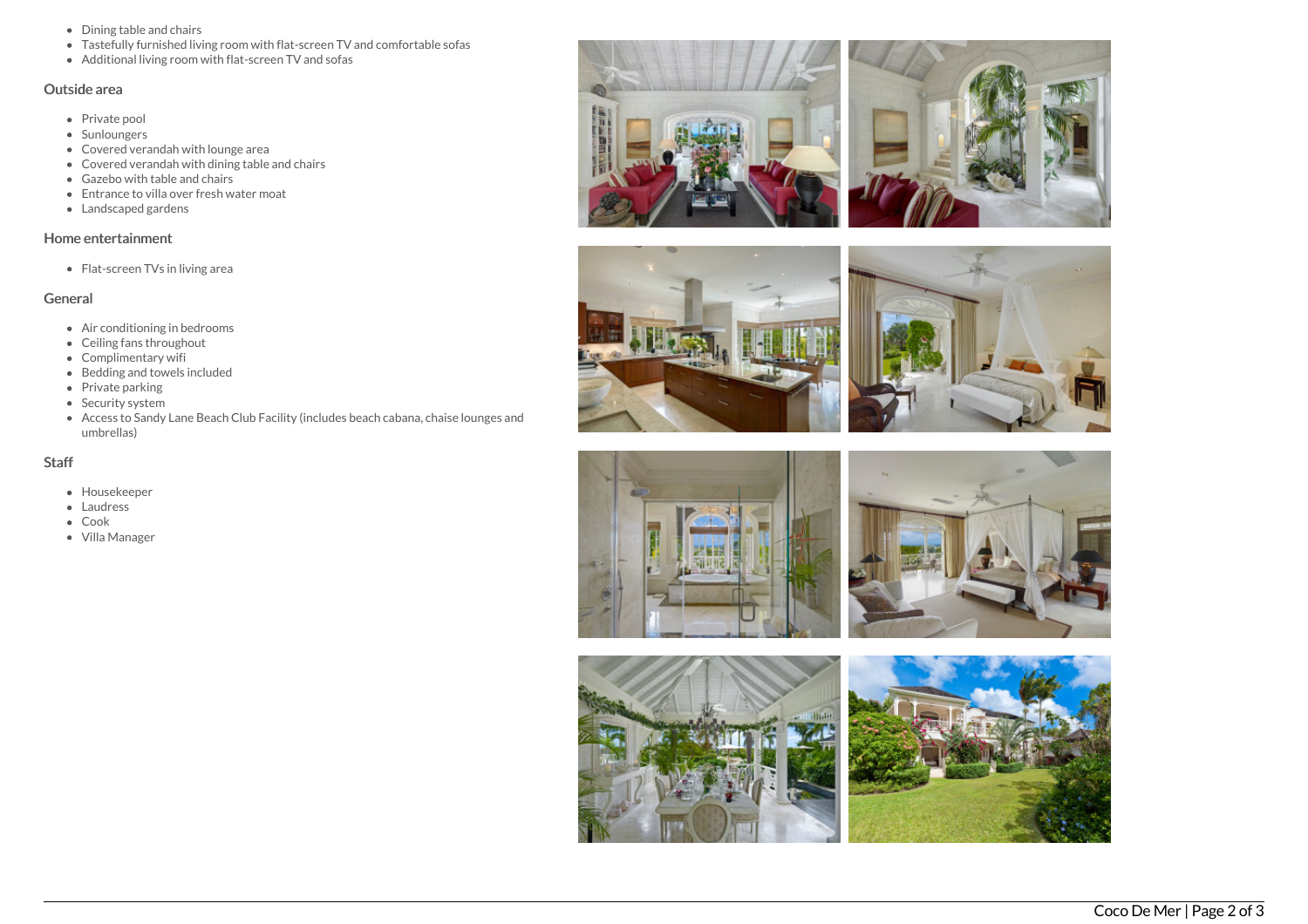- Dining table and chairs
- Tastefully furnished living room with flat-screen TV and comfortable sofas
- Additional living room with flat-screen TV and sofas

# Outside area

- Private pool
- Sunloungers
- Covered verandah with lounge area
- Covered verandah with dining table and chairs
- Gazebo with table and chairs
- Entrance to villa over fresh water moat
- Landscaped gardens

## Home entertainment

• Flat-screen TVs in living area

# General

- Air conditioning in bedrooms
- Ceiling fans throughout
- Complimentary wifi
- $\bullet$  Bedding and towels included
- Private parking
- Security system
- Access to Sandy Lane Beach Club Facility (includes beach cabana, chaise lounges and umbrellas)

## **Staff**

- Housekeeper
- Laudress
- Cook
- Villa Manager